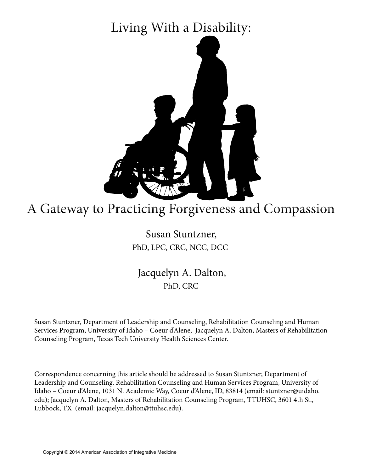# Living With a Disability:



# A Gateway to Practicing Forgiveness and Compassion

### Susan Stuntzner, PhD, LPC, CRC, NCC, DCC

Jacquelyn A. Dalton, PhD, CRC

Susan Stuntzner, Department of Leadership and Counseling, Rehabilitation Counseling and Human Services Program, University of Idaho – Coeur d'Alene; Jacquelyn A. Dalton, Masters of Rehabilitation Counseling Program, Texas Tech University Health Sciences Center.

Correspondence concerning this article should be addressed to Susan Stuntzner, Department of Leadership and Counseling, Rehabilitation Counseling and Human Services Program, University of Idaho – Coeur d'Alene, 1031 N. Academic Way, Coeur d'Alene, ID, 83814 (email: stuntzner@uidaho. edu); Jacquelyn A. Dalton, Masters of Rehabilitation Counseling Program, TTUHSC, 3601 4th St., Lubbock, TX (email: jacquelyn.dalton@ttuhsc.edu).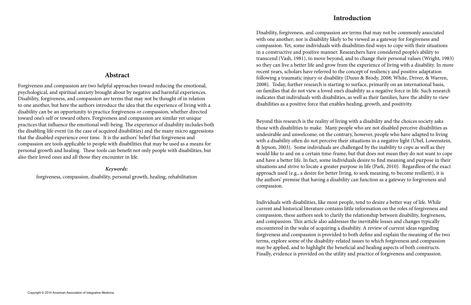#### **Abstract**

Forgiveness and compassion are two helpful approaches toward reducing the emotional, psychological, and spiritual anxiety brought about by negative and harmful experiences. Disability, forgiveness, and compassion are terms that may not be thought of in relation to one another, but here the authors introduce the idea that the experience of living with a disability can be an opportunity to practice forgiveness or compassion, whether directed toward one's self or toward others. Forgiveness and compassion are similar yet unique practices that influence the emotional well-being. The experience of disability includes both the disabling life event (in the case of acquired disabilities) and the many micro aggressions that the disabled experience over time. It is the authors' belief that forgiveness and compassion are tools applicable to people with disabilities that may be used as a means for personal growth and healing. These tools can benefit not only people with disabilities, but also their loved ones and all those they encounter in life.

#### *Keywords:*

forgiveness, compassion, disability, personal growth, healing, rehabilitation

#### **Introduction**

Disability, forgiveness, and compassion are terms that may not be commonly associated with one another; nor is disability likely to be viewed as a gateway for forgiveness and compassion. Yet, some individuals with disabilities find ways to cope with their situations in a constructive and positive manner. Researchers have considered people's ability to transcend (Vash, 1981), to move beyond, and to change their personal values (Wright, 1983) so they can live a better life and grow from the experience of living with a disability. In more recent years, scholars have referred to the concept of resiliency and positive adaptation following a traumatic injury or disability (Dunn & Brody, 2008; White, Driver, & Warren, 2008). Today, further research is starting to surface, primarily on an international basis, on families that do not view a loved one's disability as a negative force in life. Such research indicates that individuals with disabilities, as well as their families, have the ability to view disabilities as a positive force that enables healing, growth, and positivity.

Beyond this research is the reality of living with a disability and the choices society asks those with disabilities to make. Many people who are not disabled perceive disabilities as undesirable and unwelcome; on the contrary, however, people who have adapted to living with a disability often do not perceive their situations in a negative light (Ubel, Lowenstein, & Jepson, 2003). Some individuals are challenged by the inability to cope as well as they would like to and on a certain time-frame, but that does not mean they do not want to cope and have a better life. In fact, some individuals desire to find meaning and purpose in their situations and strive to locate a greater purpose in life (Park, 2010). Regardless of the exact approach used (e.g., a desire for better living, to seek meaning, to become resilient), it is the authors' premise that having a disability can function as a gateway to forgiveness and compassion.

Individuals with disabilities, like most people, tend to desire a better way of life. While current and historical literature contains little information on the roles of forgiveness and compassion, these authors seek to clarify the relationship between disability, forgiveness, and compassion. This article also addresses the inevitable losses and changes typically encountered in the wake of acquiring a disability. A review of current ideas regarding forgiveness and compassion is provided to both define and explain the meaning of the two terms, explore some of the disability-related issues to which forgiveness and compassion may be applied, and to highlight the beneficial and healing aspects of both constructs. Finally, evidence is provided on the utility and practice of forgiveness and compassion.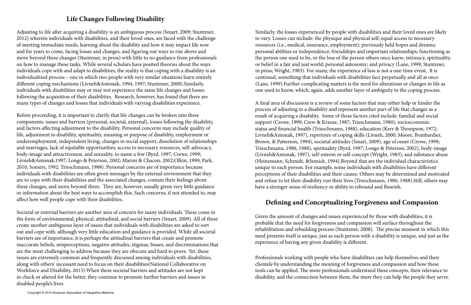# **Life Changes Following Disability**

Adjusting to life after acquiring a disability is an ambiguous process (Smart, 2009; Stuntzner, 2012) wherein individuals with disabilities, and their loved ones, are faced with the challenge of meeting immediate needs, learning about the disability and how it may impact life now and for years to come, facing losses and changes, and figuring out ways to rise above and move beyond these changes (Stuntzner, in press) with little to no guidance from professionals on how to manage these tasks. While several scholars have posited theories about the ways individuals cope with and adapt to disabilities, the reality is that coping with a disability is an individualized process – one in which two people with very similar situations learn entirely different coping mechanisms (Livneh&Antonak, 1994, 1997; Stuntzner, 2008).Similarly, individuals with disabilities may or may not experience the same life changes and losses following the acquisition of their disabilities. Research, however, has found that there are many types of changes and losses that individuals with varying disabilities experience.

Before proceeding, it is important to clarify that life changes can be broken into three components: issues and barriers (personal, societal, external), losses following the disability, and factors affecting adjustment to the disability. Personal concerns may include quality of life, adjustment to disability, spirituality, meaning or purpose of disability, employment or underemployment, independent living, changes in social support, dissolution of relationships and marriages, lack of equitable opportunities, access to necessary resources, self-advocacy, body-image and attractiveness, and sexuality, to name a few (Byrd, 1997; Crewe, 1999; Livneh&Antonak,1997; Longo & Peterson, 2002; Marini & Chacon, 2002;Olkin, 1999; Park, 2010, Somers, 1992; Trieschmann, 1988). Personal concerns are of importance because individuals with disabilities are often given messages by the external environment that they are to cope with their disabilities and the associated changes, contain their feelings about these changes, and move beyond them. They are, however, usually given very little guidance or information about the best ways to accomplish this. Such concerns, if not attended to, may affect how well people cope with their disabilities.

Societal or external barriers are another area of concern for many individuals. These come in the form of environmental, physical, attitudinal, and social barriers (Smart, 2009). All of these create another ambiguous layer of issues that individuals with disabilities are asked to sort out and cope with, although very little education and guidance is provided. While all societal barriers are of importance, it is perhaps the attitudinal barriers that create and promote inaccurate beliefs, misperceptions, negative attitudes, stigmas, biases, and discriminations that are the most challenging to address because they are obscure and hard to prove. Yet, these issues are extremely common and frequently discussed among individuals with disabilities, along with others' incessant need to focus on their disabilities(National Collaborative on Workforce and Disability, 2013).When these societal barriers and attitudes are not kept in check or altered for the better, they continue to promote further barriers and issues in disabled people's lives.

Similarly, the losses experienced by people with disabilities and their loved ones are likely to vary. Losses can include: the physique and physical self; equal access to necessary resources (i.e., medical, insurance, employment); previously held hopes and dreams; personal abilities or independence; friendships and important relationships; functioning as the person one used to be, or the loss of the person others once knew; intimacy, spirituality, or belief in a fair and just world; personal autonomy; and privacy (Lane, 1999; Stuntzner, in press; Wright, 1983). For many, the experience of loss is not a one-time event. It is continual, something that individuals with disabilities face perpetually and all at once (Lane, 1999).Further complicating matters is the need for alterations or changes in life as one used to know, which, again, adds another layer of ambiguity to the coping process.

A final area of discussion is a review of some factors that may either help or hinder the process of adjusting to a disability and represent another part of life that changes as a result of acquiring a disability. Some of these factors cited include: familial and social support (Crewe, 1999; Crew & Krause, 1987; Trieschmann, 1980), socioeconomic status and financial health (Trieschmann, 1988), education (Kerr & Thompson, 1972; Livneh&Antonak, 1997), repertoire of coping skills (Livneh, 2000; Moore, Bombardier, Brown, & Patterson, 1994), societal attitudes (Smart, 2009), age of onset (Crewe, 1999; Trieschmann, 1980, 1988), spirituality (Byrd, 1997; Longo & Peterson, 2002), body-image (Livneh&Antonak, 1997), self-esteem or self-concept (Wright, 1983), and substance abuse (Heinemann, Schmidt, &Semick, 1994).Beyond that are the individual characteristics unique to each person. For example, some individuals with disabilities have different perceptions of their disabilities and their causes. Others may be determined and motivated and refuse to let their disability run their lives (Trieschmann, 1980, 1988).Still, others may have a stronger sense of resiliency or ability to rebound and flourish.

## **Defining and Conceptualizing Forgiveness and Compassion**

Given the amount of changes and issues experienced by those with disabilities, it is probable that the need for forgiveness and compassion will surface throughout the rehabilitation and rebuilding process (Stuntzner, 2008). The precise moment in which this need presents itself is unique, just as each person with a disability is unique, and just as the experience of having any given disability is different.

Professionals working with people who have disabilities can help themselves and their clientele by understanding the meaning of forgiveness and compassion and how these tools can be applied. The more professionals understand these concepts, their relevance to disability, and the connection between them, the more they can help the people they serve.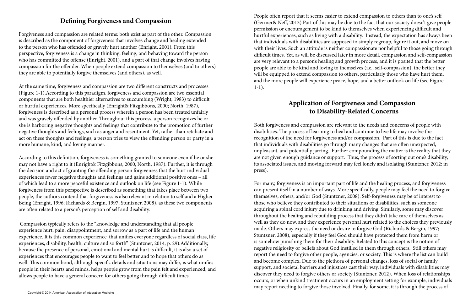### **Defining Forgiveness and Compassion**

Forgiveness and compassion are related terms: both exist as part of the other. Compassion is described as the component of forgiveness that involves change and healing extended to the person who has offended or gravely hurt another (Enright, 2001). From this perspective, forgiveness is a change in thinking, feeling, and behaving toward the person who has committed the offense (Enright, 2001), and a part of that change involves having compassion for the offender. When people extend compassion to themselves (and to others) they are able to potentially forgive themselves (and others), as well.

At the same time, forgiveness and compassion are two different constructs and processes (Figure 1-1).According to this paradigm, forgiveness and compassion are two essential components that are both healthier alternatives to succumbing (Wright, 1983) to difficult or hurtful experiences. More specifically (Enright& Fitzgibbons, 2000; North, 1987), forgiveness is described as a personal process wherein a person has been treated unfairly and was gravely offended by another. Throughout this process, a person recognizes he or she is harboring negative thoughts and feelings that contribute to the promotion of further negative thoughts and feelings, such as anger and resentment. Yet, rather than retaliate and act on these thoughts and feelings, a person tries to view the offending person or party in a more humane, kind, and loving manner.

According to this definition, forgiveness is something granted to someone even if he or she may not have a right to it (Enright& Fitzgibbons, 2000; North, 1987). Further, it is through the decision and act of granting the offending person forgiveness that the hurt individual experiences fewer negative thoughts and feelings and gains additional positive ones – all of which lead to a more peaceful existence and outlook on life (see Figure 1-1). While forgiveness from this perspective is described as something that takes place between two people, the authors contend that forgiveness is also relevant in relation to self and a Higher Being (Enright, 1996; Richards & Bergin, 1997; Stuntzner, 2008), as these two components are often related to a person's perception of self and disability.

 Compassion typically refers to the "knowledge and understanding that all people experience hurt, pain, disappointment, and sorrow as a part of life and the human experience. It is this common experience that unifies everyone regardless of social class, life experiences, disability, health, culture and so forth" (Stuntzner, 2014, p. 29).Additionally, because the presence of personal, emotional and mental hurt is difficult, it is also a set of experiences that encourages people to want to feel better and to hope that others do as well. This common bond, although specific details and situations may differ, is what unifies people in their hearts and minds, helps people grow from the pain felt and experienced, and allows people to have a general concern for others going through difficult times.

People often report that it seems easier to extend compassion to others than to one's self (Germer& Neff, 2013).Part of this may be due to the fact that our society doesn't give people permission or encouragement to be kind to themselves when experiencing difficult and hurtful experiences, such as living with a disability. Instead, the expectation has always been that individuals with disabilities are supposed to simply regroup, figure it out, and move on with their lives. Such an attitude is neither compassionate nor helpful to those going through difficult times. Yet, as will be discussed later in more detail, compassion and self-compassion are very relevant to a person's healing and growth process, and it is posited that the better people are able to be kind and loving to themselves (i.e., self-compassion), the better they will be equipped to extend compassion to others, particularly those who have hurt them, and the more people will experience peace, hope, and a better outlook on life (see Figure 1-1).

# **Application of Forgiveness and Compassion to Disability-Related Concerns**

Both forgiveness and compassion are relevant to the needs and concerns of people with disabilities. The process of learning to heal and continue to live life may involve the recognition of the need for forgiveness and/or compassion. Part of this is due to the fact that individuals with disabilities go through many changes that are often unexpected, unpleasant, and potentially jarring. Further compounding the matter is the reality that they are not given enough guidance or support. Thus, the process of sorting out one's disability, its associated issues, and moving forward may feel lonely and isolating (Stuntzner, 2012; in press).

For many, forgiveness is an important part of life and the healing process, and forgiveness can present itself in a number of ways. More specifically, people may feel the need to forgive themselves, others, and/or God (Stuntzner, 2008). Self-forgiveness may be of interest to those who believe they contributed to their situations or disabilities, such as someone acquiring a spinal cord injury due to drinking and driving. Similarly, some may discover throughout the healing and rebuilding process that they didn't take care of themselves as well as they do now, and they experience personal hurt related to the choices they previously made. Others may express the need or desire to forgive God (Richards & Bergin, 1997; Stuntzner, 2008), especially if they feel God should have protected them from harm or is somehow punishing them for their disability. Related to this concept is the notion of negative religiosity or beliefs about God instilled in them through others. Still others may report the need to forgive other people, agencies, or society. This is where the list can build and become complex. Due to the plethora of personal changes, loss of social or family support, and societal barriers and injustices cast their way, individuals with disabilities may discover they need to forgive others or society (Stuntzner, 2012). When loss of relationships occurs, or when unkind treatment occurs in an employment setting for example, individuals may report needing to forgive those involved. Finally, for some, it is through the process of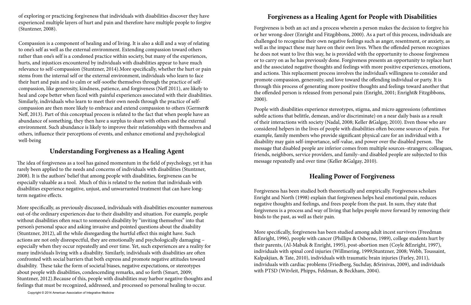of exploring or practicing forgiveness that individuals with disabilities discover they have experienced multiple layers of hurt and pain and therefore have multiple people to forgive (Stuntzner, 2008).

Compassion is a component of healing and of living. It is also a skill and a way of relating to one's self as well as the external environment. Extending compassion toward others rather than one's self is a condoned practice within society, but many of the experiences, hurts, and injustices encountered by individuals with disabilities appear to have much relevance to self-compassion (Stuntzner, 2014).More specifically, whether the hurt or pain stems from the internal self or the external environment, individuals who learn to face their hurt and pain and to calm or self-soothe themselves through the practice of selfcompassion, like generosity, kindness, patience, and forgiveness (Neff 2011), are likely to heal and cope better when faced with painful experiences associated with their disabilities. Similarly, individuals who learn to meet their own needs through the practice of selfcompassion are then more likely to embrace and extend compassion to others (Germer& Neff, 2013). Part of this conceptual process is related to the fact that when people have an abundance of something, they then have a surplus to share with others and the external environment. Such abundance is likely to improve their relationships with themselves and others, influence their perceptions of events, and enhance emotional and psychological well-being

#### **Understanding Forgiveness as a Healing Agent**

The idea of forgiveness as a tool has gained momentum in the field of psychology, yet it has rarely been applied to the needs and concerns of individuals with disabilities (Stuntzner, 2008). It is the authors' belief that among people with disabilities, forgiveness can be especially valuable as a tool. Much of this is related to the notion that individuals with disabilities experience negative, unjust, and unwarranted treatment that can have longterm negative effects.

More specifically, as previously discussed, individuals with disabilities encounter numerous out-of-the ordinary experiences due to their disability and situation. For example, people without disabilities often react to someone's disability by "inviting themselves" into that person's personal space and asking invasive and pointed questions about the disability (Stuntzner, 2012), all the while disregarding the hurtful effect this might have. Such actions are not only disrespectful, they are emotionally and psychologically damaging – especially when they occur repeatedly and over time. Yet, such experiences are a reality for many individuals living with a disability. Similarly, individuals with disabilities are often confronted with social barriers that both express and promote negative attitudes toward disability. These take the form of societal biases, negative expectations, or stereotypes about people with disabilities, condescending remarks, and so forth (Smart, 2009; Stuntzner, 2012).Because of this, people with disabilities may harbor negative thoughts and feelings that must be recognized, addressed, and processed so personal healing to occur.

# **Forgiveness as a Healing Agent for People with Disabilities**

Forgiveness is both an act and a process wherein a person makes the decision to forgive his or her wrong-doer (Enright and Fitzgibbons, 2000). As a part of this process, individuals are challenged to recognize their own negative feelings such as anger, resentment, or anxiety, as well as the impact these may have on their own lives. When the offended person recognizes he does not want to live this way, he is provided with the opportunity to choose forgiveness or to carry on as he has previously done. Forgiveness presents an opportunity to replace hurt and the associated negative thoughts and feelings with more positive experiences, emotions, and actions. This replacement process involves the individual's willingness to consider and promote compassion, generosity, and love toward the offending individual or party. It is through this process of generating more positive thoughts and feelings toward another that the offended person is released from personal pain (Enright, 2001; Enright& Fitzgibbons, 2000).

People with disabilities experience stereotypes, stigma, and micro aggressions (oftentimes subtle actions that belittle, demean, and/or discriminate) on a near daily basis as a result of their interactions with society (Nadal, 2008; Keller &Galgay, 2010). Even those who are considered helpers in the lives of people with disabilities often become sources of pain. For example, family members who provide significant physical care for an individual with a disability may gain self-importance, self-value, and power over the disabled person. The message that disabled people are inferior comes from multiple sources–strangers; colleagues, friends, neighbors, service providers, and family–and disabled people are subjected to this message repeatedly and over time (Keller &Galgay, 2010).

# **Healing Power of Forgiveness**

Forgiveness has been studied both theoretically and empirically. Forgiveness scholars Enright and North (1998) explain that forgiveness helps heal emotional pain, reduces negative thoughts and feelings, and frees people from the past. In sum, they state that forgiveness is a process and way of living that helps people move forward by removing their binds to the past, as well as their pain.

More specifically, forgiveness has been studied among adult incest survivors (Freedman &Enright, 1996), people with cancer (Phillips & Osborne, 1989), college students hurt by their parents, (Al-Mabuk & Enright, 1995), post-abortion men (Coyle &Enright, 1997), individuals with spinal cord injuries (Willmering, 1999;Stuntzner, 2008; Webb, Toussaint, Kalpakjian, & Tate, 2010), individuals with traumatic brain injuries (Farley, 2011), individuals with cardiac problems (Friedberg, Suchday, &Srinivas, 2009), and individuals with PTSD (Witvleit, Phipps, Feldman, & Beckham, 2004).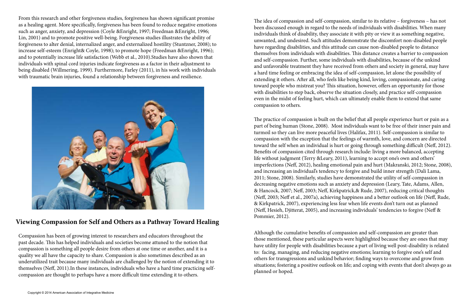From this research and other forgiveness studies, forgiveness has shown significant promise as a healing agent. More specifically, forgiveness has been found to reduce negative emotions such as anger, anxiety, and depression (Coyle &Enright, 1997; Freedman &Enright, 1996; Lin, 2001) and to promote positive well-being. Forgiveness studies illustrates the ability of forgiveness to alter denial, internalized anger, and externalized hostility (Stuntzner, 2008); to increase self-esteem (Enright& Coyle, 1998); to promote hope (Freedman &Enright, 1996); and to potentially increase life satisfaction (Webb et al., 2010).Studies have also shown that individuals with spinal cord injuries indicate forgiveness as a factor in their adjustment to being disabled (Willmering, 1999). Furthermore, Farley (2011), in his work with individuals with traumatic brain injuries, found a relationship between forgiveness and resilience.



### **Viewing Compassion for Self and Others as a Pathway Toward Healing**

Compassion has been of growing interest to researchers and educators throughout the past decade. This has helped individuals and societies become attuned to the notion that compassion is something all people desire from others at one time or another, and it is a quality we all have the capacity to share. Compassion is also sometimes described as an underutilized trait because many individuals are challenged by the notion of extending it to themselves (Neff, 2011).In these instances, individuals who have a hard time practicing selfcompassion are thought to perhaps have a more difficult time extending it to others.

The idea of compassion and self-compassion, similar to its relative – forgiveness – has not been discussed enough in regard to the needs of individuals with disabilities. When many individuals think of disability, they associate it with pity or view it as something negative, unwanted, and undesired. Such attitudes demonstrate the discomfort non-disabled people have regarding disabilities, and this attitude can cause non-disabled people to distance themselves from individuals with disabilities. This distance creates a barrier to compassion and self-compassion. Further, some individuals with disabilities, because of the unkind and unfavorable treatment they have received from others and society in general, may have a hard time feeling or embracing the idea of self-compassion, let alone the possibility of extending it others. After all, who feels like being kind, loving, compassionate, and caring toward people who mistreat you? This situation, however, offers an opportunity for those with disabilities to step back, observe the situation closely, and practice self-compassion even in the midst of feeling hurt, which can ultimately enable them to extend that same compassion to others.

The practice of compassion is built on the belief that all people experience hurt or pain as a part of being human (Stone, 2008). Most individuals want to be free of their inner pain and turmoil so they can live more peaceful lives (Halifax, 2011). Self-compassion is similar to compassion with the exception that the feelings of warmth, love, and concern are directed toward the self when an individual is hurt or going through something difficult (Neff, 2012). Benefits of compassion cited through research include: living a more balanced, accepting life without judgment (Terry &Leary, 2011), learning to accept one's own and others' imperfections (Neff, 2012), healing emotional pain and hurt (Makranski, 2012; Stone, 2008), and increasing an individual's tendency to forgive and build inner strength (Dali Lama, 2011; Stone, 2008). Similarly, studies have demonstrated the utility of self-compassion in decreasing negative emotions such as anxiety and depression (Leary, Tate, Adams, Allen, & Hancock, 2007; Neff, 2003; Neff, Kirkpatrick,& Rude, 2007), reducing critical thoughts (Neff, 2003; Neff et al., 2007a), achieving happiness and a better outlook on life (Neff, Rude, & Kirkpatrick, 2007), experiencing less fear when life events don't turn out as planned (Neff, Hesieh, Djitterat, 2005), and increasing individuals' tendencies to forgive (Neff & Pommier, 2012).

Although the cumulative benefits of compassion and self-compassion are greater than those mentioned, these particular aspects were highlighted because they are ones that may have utility for people with disabilities because a part of living well post-disability is related to: facing, managing, and reducing negative emotions; learning to forgive one's self and others for transgressions and unkind behavior; finding ways to overcome and grow from situations; fostering a positive outlook on life; and coping with events that don't always go as planned or hoped.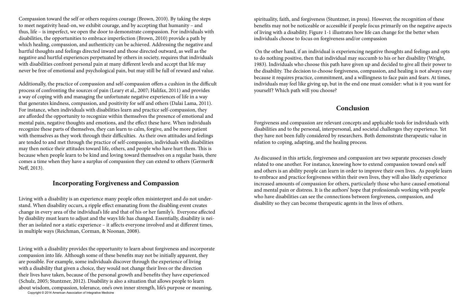Compassion toward the self or others requires courage (Brown, 2010). By taking the steps to meet negativity head-on, we exhibit courage, and by accepting that humanity – and thus, life – is imperfect, we open the door to demonstrate compassion. For individuals with disabilities, the opportunities to embrace imperfection (Brown, 2010) provide a path by which healing, compassion, and authenticity can be achieved. Addressing the negative and hurtful thoughts and feelings directed inward and those directed outward, as well as the negative and hurtful experiences perpetuated by others in society, requires that individuals with disabilities confront personal pain at many different levels and accept that life may never be free of emotional and psychological pain, but may still be full of reward and value.

Additionally, the practice of compassion and self-compassion offers a cushion in the difficult process of confronting the sources of pain (Leary et al., 2007; Halifax, 2011) and provides a way of coping with and managing the unfortunate negative experiences of life in a way that generates kindness, compassion, and positivity for self and others (Dalai Lama, 2011). For instance, when individuals with disabilities learn and practice self-compassion, they are afforded the opportunity to recognize within themselves the presence of emotional and mental pain, negative thoughts and emotions, and the effect these have. When individuals recognize these parts of themselves, they can learn to calm, forgive, and be more patient with themselves as they work through their difficulties. As their own attitudes and feelings are tended to and met through the practice of self-compassion, individuals with disabilities may then notice their attitudes toward life, others, and people who have hurt them. This is because when people learn to be kind and loving toward themselves on a regular basis, there comes a time when they have a surplus of compassion they can extend to others (Germer& Neff, 2013).

#### **Incorporating Forgiveness and Compassion**

Living with a disability is an experience many people often misinterpret and do not understand. When disability occurs, a ripple effect emanating from the disabling event creates change in every area of the individual's life and that of his or her family's. Everyone affected by disability must learn to adjust and the ways life has changed. Essentially, disability is neither an isolated nor a static experience – it affects everyone involved and at different times, in multiple ways (Reichman, Corman, & Noonan, 2008).

spirituality, faith, and forgiveness (Stuntzner, in press). However, the recognition of these benefits may not be noticeable or accessible if people focus primarily on the negative aspects of living with a disability. Figure 1-1 illustrates how life can change for the better when individuals choose to focus on forgiveness and/or compassion

 On the other hand, if an individual is experiencing negative thoughts and feelings and opts to do nothing positive, then that individual may succumb to his or her disability (Wright, 1983). Individuals who choose this path have given up and decided to give all their power to the disability. The decision to choose forgiveness, compassion, and healing is not always easy because it requires practice, commitment, and a willingness to face pain and fears. At times, individuals may feel like giving up, but in the end one must consider: what is it you want for yourself? Which path will you choose?

Living with a disability provides the opportunity to learn about forgiveness and incorporate compassion into life. Although some of these benefits may not be initially apparent, they are possible. For example, some individuals discover through the experience of living with a disability that given a choice, they would not change their lives or the direction their lives have taken, because of the personal growth and benefits they have experienced (Schulz, 2005; Stuntzner, 2012). Disability is also a situation that allows people to learn about wisdom, compassion, tolerance, one's own inner strength, life's purpose or meaning, Copyright © 2014 American Association of Integrative Medicine

### **Conclusion**

Forgiveness and compassion are relevant concepts and applicable tools for individuals with disabilities and to the personal, interpersonal, and societal challenges they experience. Yet they have not been fully considered by researchers. Both demonstrate therapeutic value in relation to coping, adapting, and the healing process.

As discussed in this article, forgiveness and compassion are two separate processes closely related to one another. For instance, knowing how to extend compassion toward one's self and others is an ability people can learn in order to improve their own lives. As people learn to embrace and practice forgiveness within their own lives, they will also likely experience increased amounts of compassion for others, particularly those who have caused emotional and mental pain or distress. It is the authors' hope that professionals working with people who have disabilities can see the connections between forgiveness, compassion, and disability so they can become therapeutic agents in the lives of others.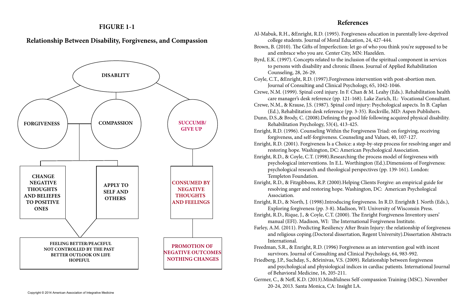### **FIGURE 1-1**

# **Relationship Between Disability, Forgiveness, and Compassion**



#### **References**

- 
- 
- 
- 
- 
- 
- 
- 
- 
- 
- 
- 
- 

Al-Mabuk, R.H., &Enright, R.D. (1995). Forgiveness education in parentally love-deprived college students. Journal of Moral Education, 24, 427-444. Brown, B. (2010). The Gifts of Imperfection: let go of who you think you're supposed to be and embrace who you are. Center City, MN: Hazelden. Byrd, E.K. (1997). Concepts related to the inclusion of the spiritual component in services to persons with disability and chronic illness. Journal of Applied Rehabilitation Counseling, 28, 26-29. Coyle, C.T., &Enright, R.D. (1997).Forgiveness intervention with post-abortion men. Journal of Consulting and Clinical Psychology, 65, 1042-1046. Crewe, N.M. (1999). Spinal cord injury. In F. Chan & M. Leahy (Eds.). Rehabilitation health care manager's desk reference (pp. 121-168). Lake Zurich, IL: Vocational Consultant. Crewe, N.M., & Krause, J.S. (1987). Spinal cord injury: Psychological aspects. In B. Caplan (Ed.), Rehabilitation desk reference (pp. 3-35). Rockville, MD: Aspen Publishers. Dunn, D.S.,& Brody, C. (2008).Defining the good life following acquired physical disability. Rehabilitation Psychology, 53(4), 413-425. Enright, R.D. (1996). Counseling Within the Forgiveness Triad: on forgiving, receiving forgiveness, and self-forgiveness. Counseling and Values, 40, 107-127. Enright, R.D. (2001). Forgiveness Is a Choice: a step-by-step process for resolving anger and restoring hope. Washington, DC: American Psychological Association. Enright, R.D., & Coyle, C.T. (1998).Researching the process model of forgiveness with psychological interventions. In E.L. Worthington (Ed.).Dimensions of Forgiveness: psychological research and theological perspectives (pp. 139-161). London: Templeton Foundation. Enright, R.D., & Fitzgibbons, R.P. (2000).Helping Clients Forgive: an empirical guide for resolving anger and restoring hope. Washington, DC: American Psychological Association. Enright, R.D., & North, J. (1998).Introducing forgiveness. In R.D. Enright& J. North (Eds.), Exploring forgiveness (pp. 3-8). Madison, WI: University of Wisconsin Press. Enright, R.D., Rique, J., & Coyle, C.T. (2000). The Enright Forgiveness Inventory users' manual (EFI). Madison, WI: The International Forgiveness Institute. Farley, A.M. (2011). Predicting Resiliency After Brain Injury: the relationship of forgiveness and religious coping.(Doctoral dissertation, Regent University).Dissertation Abstracts International. Freedman, S.R., & Enright, R.D. (1996) Forgiveness as an intervention goal with incest survivors. Journal of Consulting and Clinical Psychology, 64, 983-992. Friedberg, J.P., Suchday, S., &Srinivas, V.S. (2009). Relationship between forgiveness and psychological and physiological indices in cardiac patients. International Journal of Behavioral Medicine, 16, 205-211. Germer, C., & Neff, K.D. (2013).Mindfulness Self-compassion Training (MSC). November 20-24, 2013. Santa Monica, CA: Insight LA.

Copyright © 2014 American Association of Integrative Medicine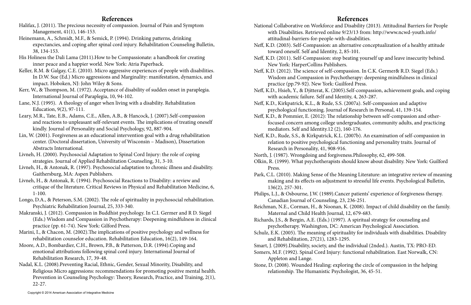### **References**

- Halifax, J. (2011). The precious necessity of compassion. Journal of Pain and Symptom Management, 41(1), 146-153.
- Heinemann, A., Schmidt, M.F., & Semick, P. (1994). Drinking patterns, drinking expectancies, and coping after spinal cord injury. Rehabilitation Counseling Bulletin, 38, 134-153.
- His Holiness the Dali Lama (2011).How to be Compassionate: a handbook for creating inner peace and a happier world. New York: Atria Paperback.
- Keller, R.M. & Galgay, C.E. (2010). Micro aggressive experiences of people with disabilities. In D.W. Sue (Ed.) Micro aggressions and Marginality: manifestation, dynamics, and impact. Hoboken, NJ: John Wiley & Sons.
- Kerr, W., & Thompson, M. (1972). Acceptance of disability of sudden onset in paraplegia. International Journal of Paraplegia, 10, 94-102.
- Lane, N.J. (1995). A theology of anger when living with a disability. Rehabilitation Education, 9(2), 97-111.
- Leary, M.R., Tate, E.B., Adams, C.E., Allen, A.B., & Hancock, J. (2007).Self-compassion and reactions to unpleasant self-relevant events. The implications of treating oneself kindly. Journal of Personality and Social Psychology, 92, 887-904.
- Lin, W. (2001). Forgiveness as an educational intervention goal with a drug rehabilitation center. (Doctoral dissertation, University of Wisconsin – Madison), Dissertation Abstracts International.
- Livneh, H. (2000). Psychosocial Adaptation to Spinal Cord Injury: the role of coping strategies. Journal of Applied Rehabilitation Counseling, 31, 3-10.
- Livneh, H., & Antonak, R. (1997). Psychosocial adaptation to chronic illness and disability. Gaithersburg, MA: Aspen Publishers.
- Livneh, H., & Antonak, R. (1994). Psychosocial Reactions to Disability: a review and critique of the literature. Critical Reviews in Physical and Rehabilitation Medicine, 6, 1-100.
- Longo, D.A., & Peterson, S.M. (2002). The role of spirituality in psychosocial rehabilitation. Psychiatric Rehabilitation Journal, 25, 333-340.
- Makranski, J. (2012). Compassion in Buddhist psychology. In C.I. Germer and R D. Siegel (Eds.) Wisdom and Compassion in Psychotherapy: Deepening mindfulness in clinical practice (pp. 61-74). New York: Gilford Press.
- Marini, I., & Chacon, M. (2002).The implications of positive psychology and wellness for rehabilitation counselor education. Rehabilitation Education, 16(2), 149-164.
- Moore, A.D., Bombardier, C.H., Brown, P.B., & Patterson, D.R. (1994).Coping and emotional attributions following spinal cord injury. International Journal of Rehabilitation Research, 17, 39-48.
- Nadal, K.L. (2008).Preventing Racial, Ethnic, Gender, Sexual Minority, Disability, and Religious Micro aggressions: recommendations for promoting positive mental health. Prevention in Counseling Psychology: Theory, Research, Practice, and Training, 2(1), 22-27.

#### **References**

- National Collaborative on Workforce and Disability (2013). Attitudinal Barriers for People with Disabilities. Retrieved online 9/23/13 from: http://www.ncwd-youth.info/ attitudinal-barriers-for-people-with-disabilities.
- 
- Neff, K.D. (2003). Self-Compassion: an alternative conceptualization of a healthy attitude toward oneself. Self and Identity, 2, 85-101.
	-
- Neff, K.D. (2011). Self-Compassion: stop beating yourself up and leave insecurity behind. New York: HarperCollins Publishers.
- Neff, K.D. (2012). The science of self-compassion. In C.K. Germer& R.D. Siegel (Eds.) Wisdom and Compassion in Psychotherapy: deepening mindfulness in clinical practice (pp.79-92). New York: Guilford Press.
- Neff, K.D., Hsieh, Y., & Djitterat, K. (2005).Self-compassion, achievement goals, and coping with academic failure. Self and Identity, 4, 263-287.
- Neff, K.D., Kirkpatrick, K.L., & Rude, S.S. (2007a). Self-compassion and adaptive psychological functioning. Journal of Research in Personal, 41, 139-154.
- Neff, K.D., & Pommier, E. (2012): The relationship between self-compassion and otherfocused concern among college undergraduates, community adults, and practicing mediators. Self and Identity.12 (2), 160-176.
- Neff, K.D., Rude, S.S., & Kirkpatrick, K.L. (2007b). An examination of self-compassion in relation to positive psychological functioning and personality traits. Journal of Research in Personality, 41, 908-916.
- North, J. (1987). Wrongdoing and forgiveness.Philosophy, 62, 499-508.
- Olkin, R. (1999). What psychotherapists should know about disability. New York: Guilford Press.
- Park, C.L. (2010). Making Sense of the Meaning Literature: an integrative review of meaning making and its effects on adjustment to stressful life events. Psychological Bulletin, 136(2), 257-301.
- Philips, L.J., & Osbourne, J.W. (1989).Cancer patients' experience of forgiveness therapy. Canadian Journal of Counseling, 23, 236-251.
- Reichman, N.E., Corman, H., & Noonan, K. (2008). Impact of child disability on the family. Maternal and Child Health Journal, 12, 679-683.
- Richards, J.S., & Bergin, A.E. (Eds.) (1997). A spiritual strategy for counseling and
- psychotherapy. Washington, DC: American Psychological Association. Schulz, E.K. (2005). The meaning of spirituality for individuals with disabilities. Disability and Rehabilitation, 27(21), 1283-1295.
- 
- Smart, J. (2009).Disability, society, and the individual (2nded.). Austin, TX: PRO-ED. Somers, M.F. (1992). Spinal Cord Injury: functional rehabilitation. East Norwalk, CN: Appleton and Lange.
- Stone, D. (2008). Wounded Healing: exploring the circle of compassion in the helping relationship. The Humanistic Psychologist, 36, 45-51.